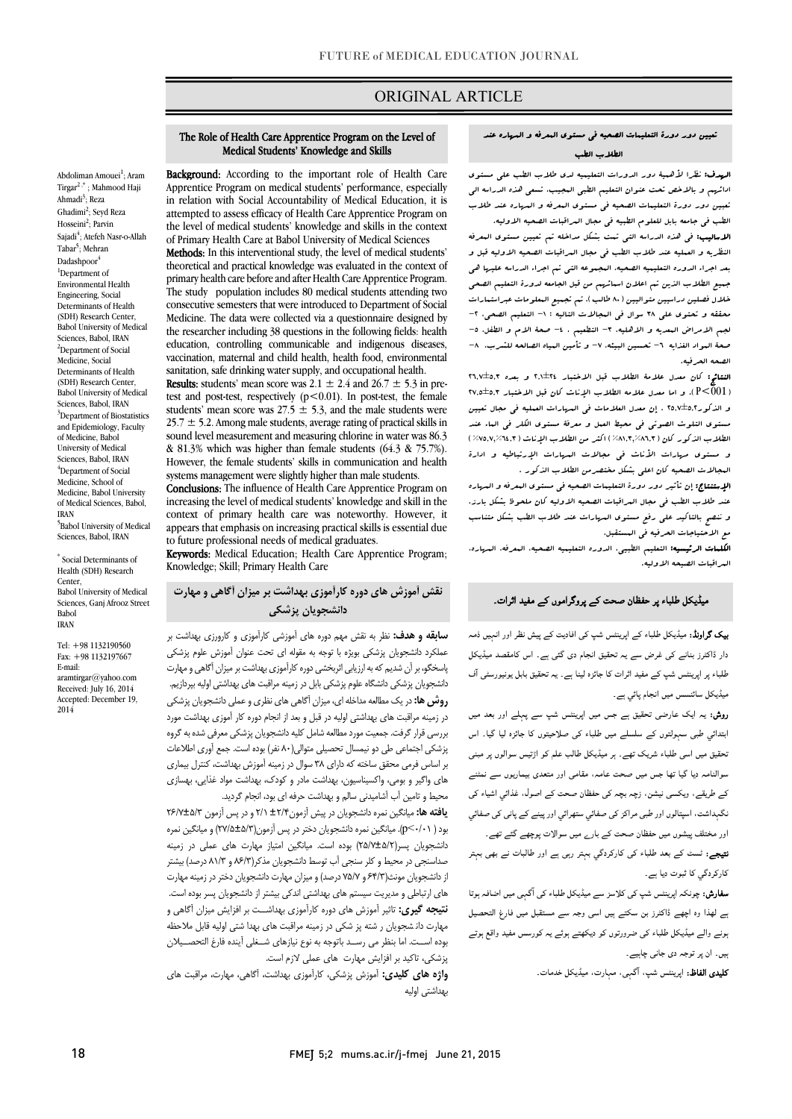## ORIGINAL ARTICLE

#### تعیین دور دورة التعلیمات الصحیه فی مستوي المعرفه و المهاره عند الطلاب الطب

Ī

ا**لهدف:** نظرا لأهمیۀ دور الدورات التعلیمیه لدی طلاب الطب علی مستوی<br>. تعبین دور دورة التعلیمات الصحیه فی مستوي المعرفه و المهاره عند طلاب الطب فی جامعه بابل للعلوم الطبیه فی مجال المراقبات الصحیه الاولیه. ادائهم و بالاخص تحت عنوان التعلیم الطبی المجیب، تسعی هذه الدراسه الی

 الاسالیب: فی هذه الدراسه التی تمت بشکل مداخله تم تعیین مستوي المعرفه النظریه و العملیه عند طلاب الطب فی مجال المراقبات الصحیه الاولیه قبل و جمیع الطلاب الذین تم اعلان اسمائهم من قبل الجامعه لدورة التعلیم الصحی خلال فصلین دراسیین متوالیین (80 طالب). تم تجمیع المعلومات عبراستمارات محققه و تحتوی علی ٣٨ سوال فی البجالات التالیه : ١- التعلیم الصحی، ٢-لجم الامراض البعدیه و الاهلیه، ٣- التطعیم ، ٤- صحۀ الام و الطفل، ٥-صحة المواد الغذایه ٦- تحسین البیئه، ٧- و تأمین المیاه الصالحه للشرب، ٦-<br>. بعد اجراء الدوره التعلیمیه الصحیه. المجموعه التی تم اجراء الدراسه علیها هی الصحه الحرفیه.

 النتائج: کان معدل علامۀ الطلاب قبل الاختبار 2,1±24 و بعده 26,7±5,3 (001>P(. و اما معدل علامه الطلاب الإناث کان قبل الاختبار 27,5±5,3 و الذکور25,7±5,2 . إن معدل العلامات فی المهارات العملیه فی مجال تعیین مستوی التلوث الصوتی فی محیط العمل و معرفۀ مستوی الکلر فی العاء عند<br>مستوی الکلوث و مستوي مهارات الأناث فی مجالات المهارات الإرتباطیه و ادارة المجالات الصحیه کان اعلی بشکل مختصرمن الطلاب الذکور . الطلاب الذکور کان (%81,3,%86,3) اکثر من الطلاب الإناث (%75,7,%64,3)

 الإستنتاج: إن تأثیر دور دورة التعلیمات الصحیه فی مستوي المعرفه و المهاره عند طلاب الطب فی مجال المراقبات الصحیه الاولیه کان ملحوظ بشکل بارز. مع الاحتیاجات الحرفیه فی المستقبل. و ننصح بالتاکید علی رفع مستوي المهارات عند طلاب الطب بشکل متناسب

 الکلمات الرئیسیه: التعلیم الطبیی، الدوره التعلیمیه الصحیه، المعرفه، المهاره، المراقبات الصیحه الاولیه.

#### میڈیکل طلباء پر حفظان صحت کے پروگراموں کے مفید اثرات۔

**ییک گراونڈ:** میڈیکل طلباء کے اپرینٹس شپ کی افادیت کے پیش نظر اور انہیں ذمہ<br>۔ دار ڈاکٹرز بنانے کی غرض سے یہ تحقیق انجام دی گئی ہے۔ اس کامقصد میڈیکل<br>۔ طلباء پر اپرینٹس شپ کے مفید اثرات کا جائزہ لینا ہے۔ یہ تحقیق بابل یونیورسٹی آف میڈیکل سائنسس میں انجام پائي ہے۔

**روش:** یہ ایک عارضی تحقیق ہے جس میں اپرینٹس شپ سے پہلے اور بعد میں ابتدائی طبی سہولتوں کے سلسلے میں طلباء کی صلاحیتوں کا جائزہ لیا گیا۔ اس نحقیق میں اسی طلباء شریک تھے۔ ہر میڈیکل طالب علم کو اڑتیس سوالوں پر مبنی سوالنامہ دیا گیا تھا جس میں صحت عامہ، مقامی اور متعدی بیماریوں سے نمٹنے کے طریقے، ویکسی نیشن، زچہ بچہ کی حفظان صحت کے اصول، غذائي اشیاء کی نگہداشت، اسپتالوں اور طبی مراکز کی صفائي ستھرائي اور پينے کے پانی کی صفائي اور مختلف پیشوں میں حفظان صحت کے بار<sub>ے</sub> میں سوالات پوچھے گئے تھے۔

ن**تیجے:** ٹسٹ کے بعد طلباء کی کارکردگی بہتر رہی ہے اور طالبات نے بھی بہتر کارکردگی کا ثبوت دیا ہے۔

**سفارش:** چونکہ اپرینٹس شپ کی کلاسز سے میڈیکل طلباء کی اَگہی میں اضافہ ہوتا ے لھذا وہ اچھے ڈاکٹرز بن سکتے ہیں اسی وجہ سے مستقبل میں فارغ التحصیل ۔<br>بونے والے میڈیکل طلباء ک*ی ضرورت*وں کو دیکھتے ہوئے یہ کورسس مفید واقع ہوتے ہیں۔ ان پر توجہ دی جانی چاہیے۔

**تلیدی الفاظ:** اپرینٹس شپ، آگمٖی، ممٖارت، میڈیکل خدمات۔

## The Role of Health Care Apprentice Program on the Level of Medical Students' Knowledge and Skills

Ī

Abdoliman Amouei<sup>1</sup>; Aram Tirgar<sup>2</sup> ,\* ; Mahmood Haji Ahmadi<sup>3</sup>; Reza Ghadimi<sup>2</sup>; Seyd Reza Hosseini<sup>2</sup>; Parvin Sajadi<sup>4</sup>; Atefeh Nasr-o-Allah Tabar<sup>5</sup>; Mehran Dadashpoor <sup>1</sup>Department of Environmental Health Engineering, Social Determinants of Health (SDH) Research Center, Babol University of Medical Sciences, Babol, IRAN 2 Department of Social Medicine, Social Determinants of Health (SDH) Research Center, Babol University of Medical Sciences, Babol, IRAN <sup>3</sup>Department of Biostatistics and Epidemiology, Faculty of Medicine, Babol University of Medical Sciences, Babol, IRAN <sup>4</sup>Department of Social Medicine, School of Medicine, Babol University of Medical Sciences, Babol, IRAN 5 Babol University of Medical Sciences, Babol, IRAN

\* Social Determinants of Health (SDH) Research **Center** Babol University of Medical Sciences, Ganj Afrooz Street Babol IRAN

Tel: +98 1132190560 Fax: +98 1132197667 E-mail: aramtirgar@yahoo.com Received: July 16, 2014 Accepted: December 19, 2014

**Background:** According to the important role of Health Care in relation with Social Accountability of Medical Education, it is attempted to assess emeacy of really care apprentice rrogram on<br>the level of medical students' knowledge and skills in the context of Primary Health Care at Babol University of Medical Sciences Apprentice Program on medical students' performance, especially attempted to assess efficacy of Health Care Apprentice Program on

 Methods: In this interventional study, the level of medical students' primary health care before and after Health Care Apprentice Program. The study population includes 80 medical students attending two Medicine. The data were collected via a questionnaire designed by the researcher including 38 questions in the following fields: health vaccination, maternal and child health, health food, environmental sanitation, safe drinking water supply, and occupational health. theoretical and practical knowledge was evaluated in the context of consecutive semesters that were introduced to Department of Social education, controlling communicable and indigenous diseases.

test and post-test, respectively  $(p<0.01)$ . In post-test, the female students' mean score was  $27.5 \pm 5.3$ , and the male students were sound level measurement and measuring chlorine in water was 86.3 & 81.3% which was higher than female students (64.3 & 75.7%). However, the female students' skills in communication and health **Results:** students' mean score was  $2.1 \pm 2.4$  and  $26.7 \pm 5.3$  in pre- $25.7 \pm 5.2$ . Among male students, average rating of practical skills in systems management were slightly higher than male students.

Conclusions: The influence of Health Care Apprentice Program on increasing the level of medical students' knowledge and skill in the appears that emphasis on increasing practical skills is essential due to future professional needs of medical graduates. context of primary health care was noteworthy. However, it

**Keywords:** Medical Education; Health Care Apprentice Program;<br>Knowledge: Skill: Primary Health Care Knowledge; Skill; Primary Health Care

#### نقش آموزش های دوره کارآموزی بهداشت بر میزان آگاهی و مهارت<br>منافع دانشجویان پزشکی

**سابقه و هدف:** نظر به نقش مهم دوره های آموزشی کارآموزی و کارورزی بهداشت بر عسامرد تانسابویان پرسانی بویره با توجه به سونه ای آمات عنوان اسورش عنوم پرسانی<br>پاسخگو، بر آن شدیم که به ارزیابی اثربخشی دوره کارآموزی بهداشت بر میزان آگاهی و مهارت .<br>دانشجویان پزشکی دانشگاه علوم پزشکی بابل در زمینه مراقبت های بهداشتی اولیه بپردازیم. **روش ها:** در یک مطالعه مداخله اي، میزان آگاهی هاي نظري و عملي دانشجویان پزشکی در زمینه مراقبت هاي بهداشتی اولیه در قبل و بعد از انجام دوره کار آموزي بهداشت مورد بررسی قرار گرفت. جمعیت مورد مطالعه شامل کلیه دانشجویان پزشکی معرفی شده به گروه پزشکی اجتماعی طی دو نیمسال تحصیلی متوالی(80 نفر) بوده است. جمع آوري اطلاعات ه<br>های واگیر و بومی، واکسیناسیون، بهداشت مادر و کودک، بهداشت مواد غذایی، بهسازی محیط و تامین آب آشامیدنی سالم و بهداشت حرفه اي بود، انجام گردید. عملکرد دانشجویان پزشکی بویژه با توجه به مقوله اي تحت عنوان آموزش علوم پزشکی بر اساس فرمی محقق ساختهکه داراي 38 سوال در زمینه آموزش بهداشت، کنترل بیماري

**یافته ها:** میانگین نمره دانشجویان در پیش آزمون±1⁄1 11 و در پس آزمون 26/Y±۵/۳ بود ( 0/01>p(. میانگین نمره دانشجویان دختر در پس آزمون(27/5±5/3) و میانگین نمره دانشجویان پسر(25/7±5/2) بوده است. میانگین امتیاز مهارت هاي عملی در زمینه از دانشجویان مونث(64/3 و 75/7 درصد) و میزان مهارت دانشجویان دختر در زمینهمهارت هاي ارتباطی و مدیریت سیستم هاي بهداشتی اندکی بیشتر از دانشجویان پسر بوده است. ن<mark>تیجه گیری:</mark> تاثیر آموزش های دوره کارآموزی بهداشــت بر افزایش میزان آگاهی و مهارت دان شجویان ر شته پز شکی در زمینه مراقبت های بهدا شتی اولیه قابل ملاحظه بوده اســت. اما بنظر می رســد باتوجه به نوع نیازهاي شــغلی آینده فارغ التحصــیلان صداسنجی در محیط و کلر سنجی آب توسط دانشجویان مذکر(86/3 و 81/3 درصد) بیشتر پزشکی، تاکید بر افزایش مهارت هاي عملی لازم است.

پرستی<del>، سیستر مرستین مهارت سی حسینی در است.</del><br>**واژه های کلیدی:** آموزش پزشکی، کارآموزی بهداشت، آگاهی، مهارت، مراقبت های بهداشتی اولیه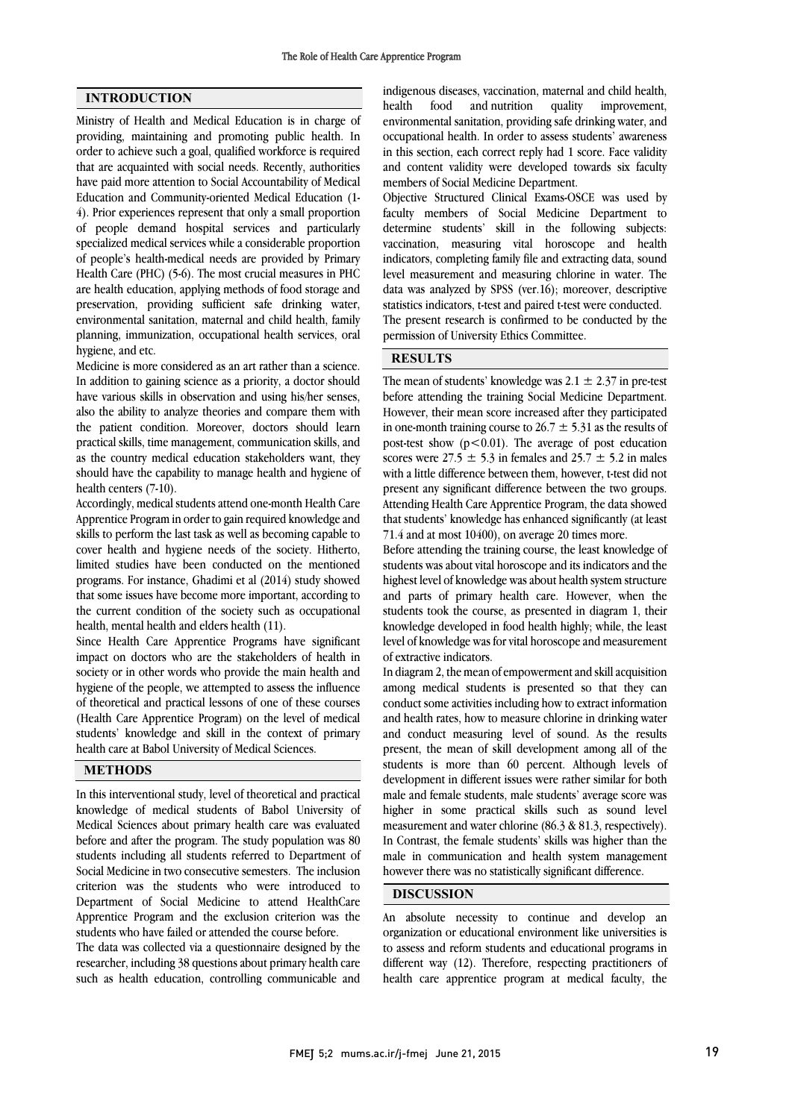### INTRODUCTION

Ministry of Health and Medical Education is in charge of providing, maintaining and promoting public health. In order to achieve such a goal, qualified workforce is required that are acquainted with social needs. Recently, authorities have paid more attention to Social Accountability of Medical Education and Community-oriented Medical Education (1- 4). Prior experiences represent that only a small proportion of people demand hospital services and particularly specialized medical services while a considerable proportion of people's health-medical needs are provided by Primary Health Care (PHC) (5-6). The most crucial measures in PHC are health education, applying methods of food storage and preservation, providing sufficient safe drinking water, environmental sanitation, maternal and child health, family planning, immunization, occupational health services, oral hygiene, and etc.

Medicine is more considered as an art rather than a science. In addition to gaining science as a priority, a doctor should have various skills in observation and using his/her senses, also the ability to analyze theories and compare them with the patient condition. Moreover, doctors should learn practical skills, time management, communication skills, and as the country medical education stakeholders want, they should have the capability to manage health and hygiene of health centers (7-10).

Accordingly, medical students attend one-month Health Care Apprentice Program in order to gain required knowledge and skills to perform the last task as well as becoming capable to cover health and hygiene needs of the society. Hitherto, limited studies have been conducted on the mentioned programs. For instance, Ghadimi et al (2014) study showed that some issues have become more important, according to the current condition of the society such as occupational health, mental health and elders health (11).

Since Health Care Apprentice Programs have significant impact on doctors who are the stakeholders of health in society or in other words who provide the main health and hygiene of the people, we attempted to assess the influence of theoretical and practical lessons of one of these courses (Health Care Apprentice Program) on the level of medical students' knowledge and skill in the context of primary health care at Babol University of Medical Sciences.

### METHODS

In this interventional study, level of theoretical and practical knowledge of medical students of Babol University of Medical Sciences about primary health care was evaluated before and after the program. The study population was 80 students including all students referred to Department of Social Medicine in two consecutive semesters. The inclusion criterion was the students who were introduced to Department of Social Medicine to attend HealthCare Apprentice Program and the exclusion criterion was the students who have failed or attended the course before.

The data was collected via a questionnaire designed by the researcher, including 38 questions about primary health care such as health education, controlling communicable and

 indigenous diseases, vaccination, maternal and child health, health environmental sanitation, providing safe drinking water, and occupational health. In order to assess students' awareness and content validity were developed towards six faculty members of Social Medicine Department. food and nutrition quality improvement, in this section, each correct reply had 1 score. Face validity

 Objective Structured Clinical Exams-OSCE was used by determine students' skill in the following subjects: vaccination, measuring vital horoscope and health indicators, completing family file and extracting data, sound level measurement and measuring chlorine in water. The data was analyzed by SPSS (ver.16); moreover, descriptive The present research is confirmed to be conducted by the permission of University Ethics Committee. faculty members of Social Medicine Department to statistics indicators, t-test and paired t-test were conducted.

# RESULTS

The mean of students' knowledge was  $2.1 \pm 2.37$  in pre-test before attending the training Social Medicine Department. However, their mean score increased after they participated in one-month training course to 26.7  $\pm$  5.31 as the results of post-test show  $(p<0.01)$ . The average of post education with a little difference between them, however, t-test did not present any significant difference between the two groups. Attending Health Care Apprentice Program, the data showed 71.4 and at most 10400), on average 20 times more. scores were  $27.5 \pm 5.3$  in females and  $25.7 \pm 5.2$  in males that students' knowledge has enhanced significantly (at least

 Before attending the training course, the least knowledge of students was about vital horoscope and its indicators and the highest level of knowledge was about health system structure and parts of primary health care. However, when the knowledge developed in food health highly; while, the least level of knowledge was for vital horoscope and measurement of extractive indicators. students took the course, as presented in diagram 1, their

 In diagram 2, the mean of empowerment and skill acquisition conduct some activities including how to extract information and health rates, how to measure chlorine in drinking water and conduct measuring level of sound. As the results present, the mean of skill development among all of the development in different issues were rather similar for both male and female students, male students' average score was higher in some practical skills such as sound level In Contrast, the female students' skills was higher than the male in communication and health system management however there was no statistically significant difference. among medical students is presented so that they can students is more than 60 percent. Although levels of measurement and water chlorine (86.3 & 81.3, respectively).

## DISCUSSION

 An absolute necessity to continue and develop an organization or educational environment like universities is to assess and reform students and educational programs in different way (12). Therefore, respecting practitioners of health care apprentice program at medical faculty, the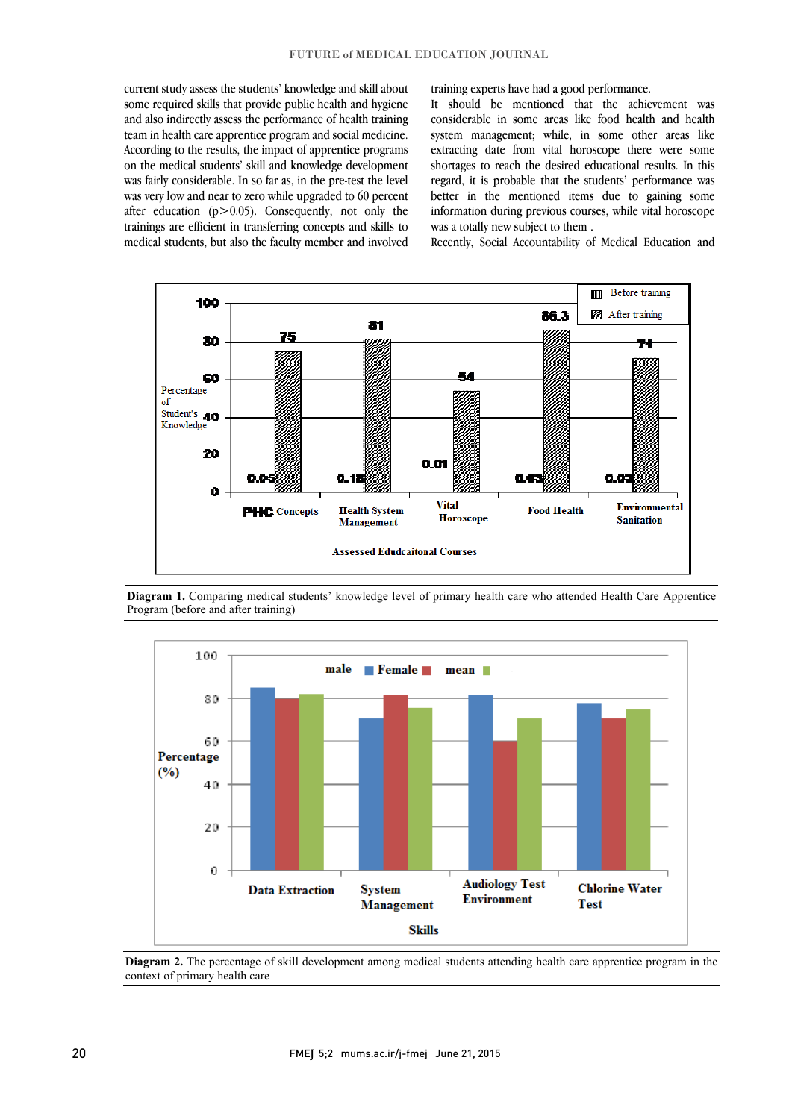current study assess the students' knowledge and skill about some required skills that provide public health and hygiene and also indirectly assess the performance of health training According to the results, the impact of apprentice programs on the medical students' skill and knowledge development was fairly considerable. In so far as, in the pre-test the level was very low and near to zero while upgraded to 60 percent  $t_{\text{trainings}}$  are efficient in transferring concepts and skills to medical students, but also the faculty member and involved team in health care apprentice program and social medicine. after education  $(p>0.05)$ . Consequently, not only the

training experts have had a good performance.

 It should be mentioned that the achievement was considerable in some areas like food health and health extracting date from vital horoscope there were some shortages to reach the desired educational results. In this regard, it is probable that the students' performance was better in the mentioned items due to gaining some information during previous courses, while vital horoscope system management; while, in some other areas like was a totally new subject to them .

Recently, Social Accountability of Medical Education and



Diagram 1. Comparing medical students' knowledge level of primary health care who attended Health Care Apprentice<br>Presented the face and effect training) Program (before and after training)



 Diagram 2. The percentage of skill development among medical students attending health care apprentice program in the j  $\overline{a}$ context of primary health care